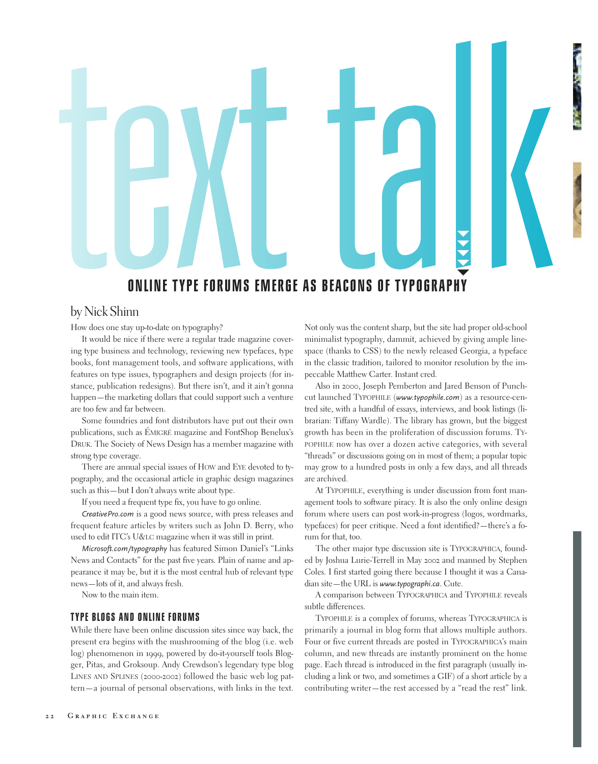

# **ONLINE TYPE FORUMS EMERGE AS BEACONS OF TYPOGRAPHY** -

# by Nick Shinn

How does one stay up-to-date on typography?

It would be nice if there were a regular trade magazine covering type business and technology, reviewing new typefaces, type books, font management tools, and software applications, with features on type issues, typographers and design projects (for instance, publication redesigns). But there isn't, and it ain't gonna happen—the marketing dollars that could support such a venture are too few and far between.

Some foundries and font distributors have put out their own publications, such as ÉMIGRÉ magazine and FontShop Benelux's DRUK. The Society of News Design has a member magazine with strong type coverage.

There are annual special issues of HOW and EYE devoted to typography, and the occasional article in graphic design magazines such as this—but I don't always write about type.

If you need a frequent type fix, you have to go online.

*CreativePro.com* is a good news source, with press releases and frequent feature articles by writers such as John D. Berry, who used to edit ITC's U&LC magazine when it was still in print.

*Microsoft.com/typography* has featured Simon Daniel's "Links News and Contacts" for the past five years. Plain of name and appearance it may be, but it is the most central hub of relevant type news—lots of it, and always fresh.

Now to the main item.

### **TYPE BLOGS AND ONLINE FORUMS**

While there have been online discussion sites since way back, the present era begins with the mushrooming of the blog (i.e. web log) phenomenon in 1999, powered by do-it-yourself tools Blogger, Pitas, and Groksoup. Andy Crewdson's legendary type blog LINES AND SPLINES (2000-2002) followed the basic web log pattern—a journal of personal observations, with links in the text. Not only was the content sharp, but the site had proper old-school minimalist typography, dammit, achieved by giving ample linespace (thanks to CSS) to the newly released Georgia, a typeface in the classic tradition, tailored to monitor resolution by the impeccable Matthew Carter. Instant cred.

Also in 2000, Joseph Pemberton and Jared Benson of Punchcut launched TYPOPHILE (*www.typophile.com*) as a resource-centred site, with a handful of essays, interviews, and book listings (librarian: Tiffany Wardle). The library has grown, but the biggest growth has been in the proliferation of discussion forums. TY-POPHILE now has over a dozen active categories, with several "threads" or discussions going on in most of them; a popular topic may grow to a hundred posts in only a few days, and all threads are archived.

At TYPOPHILE, everything is under discussion from font management tools to software piracy. It is also the only online design forum where users can post work-in-progress (logos, wordmarks, typefaces) for peer critique. Need a font identified?—there's a forum for that, too.

The other major type discussion site is TYPOGRAPHICA, founded by Joshua Lurie-Terrell in May 2002 and manned by Stephen Coles. I first started going there because I thought it was a Canadian site—the URL is *www.typographi.ca*. Cute.

A comparison between TYPOGRAPHICA and TYPOPHILE reveals subtle differences.

TYPOPHILE is a complex of forums, whereas TYPOGRAPHICA is primarily a journal in blog form that allows multiple authors. Four or five current threads are posted in TYPOGRAPHICA's main column, and new threads are instantly prominent on the home page. Each thread is introduced in the first paragraph (usually including a link or two, and sometimes a GIF) of a short article by a contributing writer—the rest accessed by a "read the rest" link.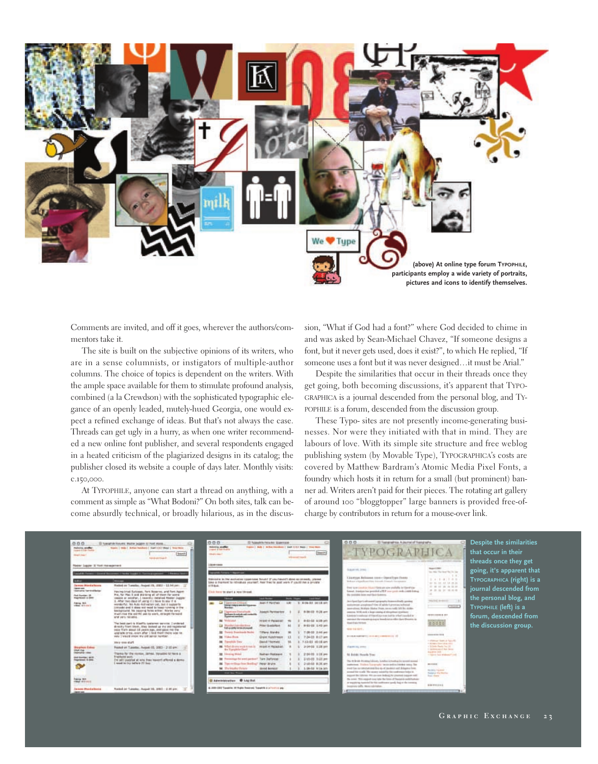

Comments are invited, and off it goes, wherever the authors/commentors take it.

The site is built on the subjective opinions of its writers, who are in a sense columnists, or instigators of multiple-author columns. The choice of topics is dependent on the writers. With the ample space available for them to stimulate profound analysis, combined (a la Crewdson) with the sophisticated typographic elegance of an openly leaded, mutely-hued Georgia, one would expect a refined exchange of ideas. But that's not always the case. Threads can get ugly in a hurry, as when one writer recommended a new online font publisher, and several respondents engaged in a heated criticism of the plagiarized designs in its catalog; the publisher closed its website a couple of days later. Monthly visits: c.150,000.

At TYPOPHILE, anyone can start a thread on anything, with a comment as simple as "What Bodoni?" On both sites, talk can become absurdly technical, or broadly hilarious, as in the discussion, "What if God had a font?" where God decided to chime in and was asked by Sean-Michael Chavez, "If someone designs a font, but it never gets used, does it exist?", to which He replied, "If someone uses a font but it was never designed…it must be Arial."

Despite the similarities that occur in their threads once they get going, both becoming discussions, it's apparent that TYPO-GRAPHICA is a journal descended from the personal blog, and TY-POPHILE is a forum, descended from the discussion group.

These Typo- sites are not presently income-generating businesses. Nor were they initiated with that in mind. They are labours of love. With its simple site structure and free weblog publishing system (by Movable Type), TYPOGRAPHICA's costs are covered by Matthew Bardram's Atomic Media Pixel Fonts, a foundry which hosts it in return for a small (but prominent) banner ad. Writers aren't paid for their pieces. The rotating art gallery of around 100 "bloggtopper" large banners is provided free-ofcharge by contributors in return for a mouse-over link.

| 0.0.0<br>makerni, sandhat<br>come 4 has Feder-<br><b>Magnitude</b> !                                                                                                         | III Typogride Society, Matter Siggest III Next Wans.<br>Statio 1 mobil, during resolution of Aug 1210 P Band 1, State West<br><b>Jauni</b> :<br><b>Auto de volcà à l'especial</b>                                                                                                                                                                                                                                                                                                                                                                                                                                                                                                                                                                                                                                              | 000<br>o<br>ID Takeshie Feladet Statement<br>making applies<br>Toppic 1, Malt 1, McNas Harolines 1, \$440, 5 for Mass 1, three Marin<br>Louisville & Track Moulding<br>Issue)<br><b>STANDARD STANDARD</b><br><b>Alexandriana</b>                                                                                                                                                                                                                                                                                                                                                                                                                                                                                                                                                                                                                                                                          | 0.0.0<br>ID Yesternahma, Automal of Yesternahe.<br>-TYPOGRAPHICA                                                                                                                                                                                                                                                                                                                                                                                                                                                                                                                                                                                                                                                                                                                                                                                                                                                                                                                                                                                                                                                                                                                                                                                                                                                                                                                                                                                                                                                                                                                       |                                                                                                                                                                                                                                                                                                                                                                                                                                                                                                                                                                                           | Despite the similarities<br>that occur in their<br>threads once they get |
|------------------------------------------------------------------------------------------------------------------------------------------------------------------------------|--------------------------------------------------------------------------------------------------------------------------------------------------------------------------------------------------------------------------------------------------------------------------------------------------------------------------------------------------------------------------------------------------------------------------------------------------------------------------------------------------------------------------------------------------------------------------------------------------------------------------------------------------------------------------------------------------------------------------------------------------------------------------------------------------------------------------------|-----------------------------------------------------------------------------------------------------------------------------------------------------------------------------------------------------------------------------------------------------------------------------------------------------------------------------------------------------------------------------------------------------------------------------------------------------------------------------------------------------------------------------------------------------------------------------------------------------------------------------------------------------------------------------------------------------------------------------------------------------------------------------------------------------------------------------------------------------------------------------------------------------------|----------------------------------------------------------------------------------------------------------------------------------------------------------------------------------------------------------------------------------------------------------------------------------------------------------------------------------------------------------------------------------------------------------------------------------------------------------------------------------------------------------------------------------------------------------------------------------------------------------------------------------------------------------------------------------------------------------------------------------------------------------------------------------------------------------------------------------------------------------------------------------------------------------------------------------------------------------------------------------------------------------------------------------------------------------------------------------------------------------------------------------------------------------------------------------------------------------------------------------------------------------------------------------------------------------------------------------------------------------------------------------------------------------------------------------------------------------------------------------------------------------------------------------------------------------------------------------------|-------------------------------------------------------------------------------------------------------------------------------------------------------------------------------------------------------------------------------------------------------------------------------------------------------------------------------------------------------------------------------------------------------------------------------------------------------------------------------------------------------------------------------------------------------------------------------------------|--------------------------------------------------------------------------|
| Nate: Ligan: 3 Foll risksprints                                                                                                                                              |                                                                                                                                                                                                                                                                                                                                                                                                                                                                                                                                                                                                                                                                                                                                                                                                                                | 100401044                                                                                                                                                                                                                                                                                                                                                                                                                                                                                                                                                                                                                                                                                                                                                                                                                                                                                                 | Superiori, Irms.                                                                                                                                                                                                                                                                                                                                                                                                                                                                                                                                                                                                                                                                                                                                                                                                                                                                                                                                                                                                                                                                                                                                                                                                                                                                                                                                                                                                                                                                                                                                                                       | <b>Magazint</b>                                                                                                                                                                                                                                                                                                                                                                                                                                                                                                                                                                           | going, it's apparent that                                                |
| panel de France II (come d'Arr                                                                                                                                               | and in the first time party of the first time assumption of the first major factors                                                                                                                                                                                                                                                                                                                                                                                                                                                                                                                                                                                                                                                                                                                                            | ando Aurora + Approvisor                                                                                                                                                                                                                                                                                                                                                                                                                                                                                                                                                                                                                                                                                                                                                                                                                                                                                  |                                                                                                                                                                                                                                                                                                                                                                                                                                                                                                                                                                                                                                                                                                                                                                                                                                                                                                                                                                                                                                                                                                                                                                                                                                                                                                                                                                                                                                                                                                                                                                                        | tax the Technolity in the<br>1.1                                                                                                                                                                                                                                                                                                                                                                                                                                                                                                                                                          |                                                                          |
| $-$<br><b>Samuel Marshallstern</b><br><b>Dealer Ave.</b><br><b>Seenane Leningham</b><br><b>Real Australian Life</b><br><b>FARTHALL 4-2010</b><br>Public Rd.<br>Vites Streets | <b>MARINEZ</b><br>Webbal on Tuesday, August 28, 2002 - 12-M per-<br>Harving triad Suitzage, Fark Asserse, and Fark Agent<br>Priz, Net Plac 3, and sharisme all of them for some<br>veskic at accords, I record a regular Master Jugger<br>3. After two days of using it I have to say it is<br>worsterful, No Auto Activation Vet, but it supports<br>Listende and it story and twent by Lawer running or the<br>background, his capping false arther. Wards yerly<br>4140's FAX TW 240'MI, also So wards, \$5'Walls, Tw ward.<br>and yary retable.<br>The best cart is disaffic instance senate. I solered<br>dressly from them, they looked up the and requirered<br>(sp) Ya'll pood 18 years ago, and paid the the<br>approache or leg., avent affor 1 fired them there was no.<br>way I wanted know wa cell parter humber. | Statistics to the exclusive Lizarchies Sciutt! If you haven't about an annuals, phenot<br>time a market to remakes yourself, heat free for must were if could the a progra-<br>117.94.41<br>Club have to start a new bloost.<br><b>Inches</b><br><b>Louis Modern</b><br><b>During Channel</b><br><b>SouthWest</b><br><b>CO</b><br>LIE:<br>1.810-23 10118 MY<br>ALLES F. PALISTAEL<br>m<br><b>SILE / MES &amp; ALL ATTENDED</b><br>L. Tigerroam Darrathyak<br>8-36-22 9:28 pm<br>Uppoint Partnerbow<br>philadelphia distributional contact de-<br>caracterization and<br>$\sim$<br>28-23-222, \$12/9.345<br><b>WEIGHT 14 PROGRESSE</b><br><b>Wylesward</b><br>CA 25 policy (rate of a street<br><b><i>PERMIT COLA GANGLER</i></b><br>\$121-222, 21412 per-<br><b>BE There's Transitionals Bushe</b><br>7.06.03 3.44 pm<br>Tillians Standid<br>7-34-03 8:17 pm<br><b>BE</b> Value Deep.<br>Grant Hutchingen | Liamua Belisses (100+ UserFresTresTrest)<br>Indian chambiocripts invate Desart Investor<br>from tow product their their areas available to the style.<br>futural. Administrator periodical a PEF core perch study a patch follows:<br>the controlsts later and their tempera.<br>investigated there's sub-named inge-growing-immersializeds genuing<br>instruments are already of the late beams and the companies<br>lane-cliner, Midlate Moder From investigate \$10 for Allaho-<br>immes. With axis a large ratatus at stingulines systems<br>kinning's various of threatists was just in a both social in<br>percent the research stream insulated and the three Measons in<br><b>Real Falls Frings</b><br>400-94-92T.<br>TO USA AMERICA COLORADO INTERNAS<br>T-13-85 Michi am<br><b>NE Turnishall</b> Torry<br><b>Basical Visconant</b><br><b>BE What do not wait to say in</b><br><b>MODEL AT RADARAS</b><br>3-14-03 1:28 pm<br>FARM IS AND<br>the Template Chart<br><b>M</b> Henriq Brial<br>2-24.03 1133 pm<br><b>Nothern Methods</b><br>51 Bobds Houck Time<br>by flavorings by and particul Tark Dallanest<br>345-03 143 pm<br>The 44 Bride Privating Library, London is freebul for normal mount<br>20 Tax certing from booting" Near Araba.<br>2140-031-3120 pm<br>instituted. Trailers framework: incompetitist include some film<br>away has no integrational five up of insulator said delagence boas<br><b>NG</b> She brasher Persons<br>Mold Benedi<br>1-28-02 9:19 MW<br>invested him would. This stronger policed by this conditioner better as<br>that has finant. | TYPOGRAPHICA (right) is a<br>1.141411111111<br>10 10 10 11 14 15 16<br>22 23 24 25 26 27 28<br>journal descended from<br># # # ir # # #<br>the personal blog, and<br><b>PACIFIC IN GROUP</b><br><b>Think</b><br>TYPOPHILE (left) is a<br>forum, descended from<br>100110814-01<br>1193689<br>the discussion group.<br><b><i><u>ABANEER</u></i></b><br>Collection States of Asia Rd.<br>1 BERBELL SAM LAWLAND<br>17 of Falls Seals Ter.<br>- Lipstermont of And Service<br>limitive intil.<br>"There has trained (ed)<br>porchedos :<br><b>REIGHA THANK</b><br><b>Training For Section</b> |                                                                          |
| <b>Brogrimson Codesi</b><br><b>STOP THE </b><br><b><i>Indiana Mark</i></b><br><b>Tegonesic S.MIS</b>                                                                         | trary your graft<br>Peaked on Tukestee, August 05, 2003 - 2:50 pm 1<br>Training Ry You recruites, clamped, thangailling full frame at<br><b><i><u>Engineer</u></i></b> sert.<br>The pail counting at aim time inspect affected a detec-<br>I most to try before 21 box                                                                                                                                                                                                                                                                                                                                                                                                                                                                                                                                                         |                                                                                                                                                                                                                                                                                                                                                                                                                                                                                                                                                                                                                                                                                                                                                                                                                                                                                                           |                                                                                                                                                                                                                                                                                                                                                                                                                                                                                                                                                                                                                                                                                                                                                                                                                                                                                                                                                                                                                                                                                                                                                                                                                                                                                                                                                                                                                                                                                                                                                                                        |                                                                                                                                                                                                                                                                                                                                                                                                                                                                                                                                                                                           |                                                                          |
|                                                                                                                                                                              |                                                                                                                                                                                                                                                                                                                                                                                                                                                                                                                                                                                                                                                                                                                                                                                                                                |                                                                                                                                                                                                                                                                                                                                                                                                                                                                                                                                                                                                                                                                                                                                                                                                                                                                                                           |                                                                                                                                                                                                                                                                                                                                                                                                                                                                                                                                                                                                                                                                                                                                                                                                                                                                                                                                                                                                                                                                                                                                                                                                                                                                                                                                                                                                                                                                                                                                                                                        |                                                                                                                                                                                                                                                                                                                                                                                                                                                                                                                                                                                           |                                                                          |
| <b>Extrap 603</b><br><b>HAAL MAILERS</b>                                                                                                                                     |                                                                                                                                                                                                                                                                                                                                                                                                                                                                                                                                                                                                                                                                                                                                                                                                                                | B Administration B Lightsd                                                                                                                                                                                                                                                                                                                                                                                                                                                                                                                                                                                                                                                                                                                                                                                                                                                                                | Import the Library. His covered indical the planted inspect cold.<br>The name: "This expands can labe the form of Travist is conditionized<br>ar waypaying tussened for the continuum goody bug or the notating                                                                                                                                                                                                                                                                                                                                                                                                                                                                                                                                                                                                                                                                                                                                                                                                                                                                                                                                                                                                                                                                                                                                                                                                                                                                                                                                                                        | <b>Ross Have</b>                                                                                                                                                                                                                                                                                                                                                                                                                                                                                                                                                                          |                                                                          |
| <b>January Providentials</b><br><b>TRANSPORT</b>                                                                                                                             | Noted or Canaday, August 10, 2003 / 2:35 pm                                                                                                                                                                                                                                                                                                                                                                                                                                                                                                                                                                                                                                                                                                                                                                                    | 6.000-000 Travelries III Highly Eventrals Travelrife is a Frankris and                                                                                                                                                                                                                                                                                                                                                                                                                                                                                                                                                                                                                                                                                                                                                                                                                                    | Incomercial Editor, Michael Industrialism.                                                                                                                                                                                                                                                                                                                                                                                                                                                                                                                                                                                                                                                                                                                                                                                                                                                                                                                                                                                                                                                                                                                                                                                                                                                                                                                                                                                                                                                                                                                                             | M-RAY-Bronz & M-RAY                                                                                                                                                                                                                                                                                                                                                                                                                                                                                                                                                                       |                                                                          |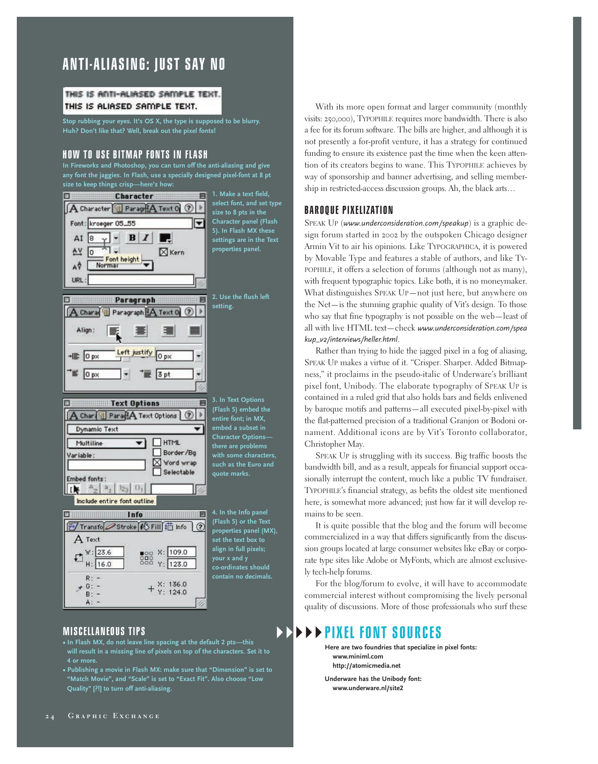# **ANTI-ALIASING: JUST SAY NO**

### THIS IS ANTI-ALIASED SAMPLE TEXT. THIS IS ALIASED SAMPLE TEXT.

**Stop rubbing your eyes. It's OS X, the type is supposed to be blurry. Huh? Don't like that? Well, break out the pixel fonts!**

### **HOW TO USE BITMAP FONTS IN FLASH**

**In Fireworks and Photoshop, you can turn off the anti-aliasing and give any font the jaggies. In Flash, use a specially designed pixel-font at 8 pt size to keep things crisp—here's how:**



**MISCELLANEOUS TIPS** 

- **In Flash MX, do not leave line spacing at the default 2 pts—this will result in a missing line of pixels on top of the characters. Set it to 4 or more.**
- **Publishing a movie in Flash MX: make sure that "Dimension" is set to Quality" [?!] to turn off anti-aliasing.**

With its more open format and larger community (monthly visits: 250,000), TYPOPHILE requires more bandwidth. There is also a fee for its forum software. The bills are higher, and although it is not presently a for-profit venture, it has a strategy for continued funding to ensure its existence past the time when the keen attention of its creators begins to wane. This TYPOPHILE achieves by way of sponsorship and banner advertising, and selling membership in restricted-access discussion groups. Ah, the black arts…

## **BAROQUE PIXELIZATION**

SPEAK UP (*www.underconsideration.com/speakup*) is a graphic design forum started in 2002 by the outspoken Chicago designer Armin Vit to air his opinions. Like TYPOGRAPHICA, it is powered by Movable Type and features a stable of authors, and like TY-POPHILE, it offers a selection of forums (although not as many), with frequent typographic topics. Like both, it is no moneymaker. What distinguishes SPEAK UP—not just here, but anywhere on the Net—is the stunning graphic quality of Vit's design. To those who say that fine typography is not possible on the web—least of all with live HTML text—check *www.underconsideration.com/spea kup\_v2/interviews/heller.html*.

Rather than trying to hide the jagged pixel in a fog of aliasing, SPEAK UP makes a virtue of it. "Crisper. Sharper. Added Bitmapness," it proclaims in the pseudo-italic of Underware's brilliant pixel font, Unibody. The elaborate typography of SPEAK UP is contained in a ruled grid that also holds bars and fields enlivened by baroque motifs and patterns—all executed pixel-by-pixel with the flat-patterned precision of a traditional Granjon or Bodoni ornament. Additional icons are by Vit's Toronto collaborator, Christopher May.

SPEAK UP is struggling with its success. Big traffic boosts the bandwidth bill, and as a result, appeals for financial support occasionally interrupt the content, much like a public TV fundraiser. TYPOPHILE's financial strategy, as befits the oldest site mentioned here, is somewhat more advanced; just how far it will develop remains to be seen.

It is quite possible that the blog and the forum will become commercialized in a way that differs significantly from the discussion groups located at large consumer websites like eBay or corporate type sites like Adobe or MyFonts, which are almost exclusively tech-help forums.

For the blog/forum to evolve, it will have to accommodate commercial interest without compromising the lively personal quality of discussions. More of those professionals who surf these

### $\blacktriangleright$  - $\blacktriangleright$  $\blacktriangleright$ **PIXEL FONT SOURCES**

 $\blacktriangleright$ 

**Here are two foundries that specialize in pixel fonts: www.miniml.com http://atomicmedia.net**

**Underware has the Unibody font: www.underware.nl/site2**